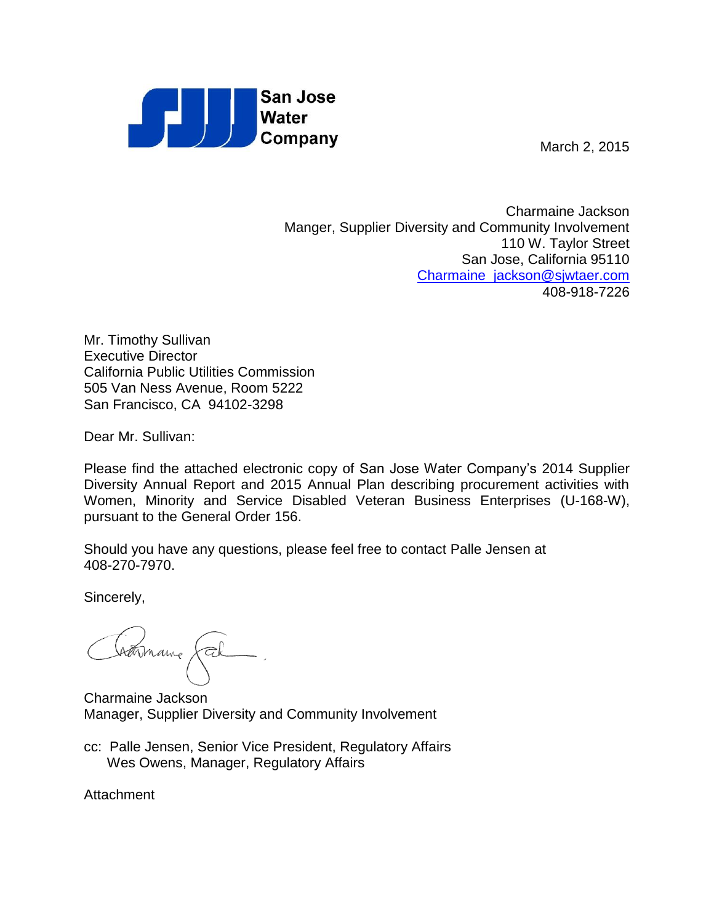

March 2, 2015

Charmaine Jackson Manger, Supplier Diversity and Community Involvement 110 W. Taylor Street San Jose, California 95110 [Charmaine\\_jackson@sjwtaer.com](mailto:Charmaine_jackson@sjwtaer.com) 408-918-7226

Mr. Timothy Sullivan Executive Director California Public Utilities Commission 505 Van Ness Avenue, Room 5222 San Francisco, CA 94102-3298

Dear Mr. Sullivan:

Please find the attached electronic copy of San Jose Water Company's 2014 Supplier Diversity Annual Report and 2015 Annual Plan describing procurement activities with Women, Minority and Service Disabled Veteran Business Enterprises (U-168-W), pursuant to the General Order 156.

Should you have any questions, please feel free to contact Palle Jensen at 408-270-7970.

Sincerely,

Charmanne (cel

Charmaine Jackson Manager, Supplier Diversity and Community Involvement

cc: Palle Jensen, Senior Vice President, Regulatory Affairs Wes Owens, Manager, Regulatory Affairs

**Attachment**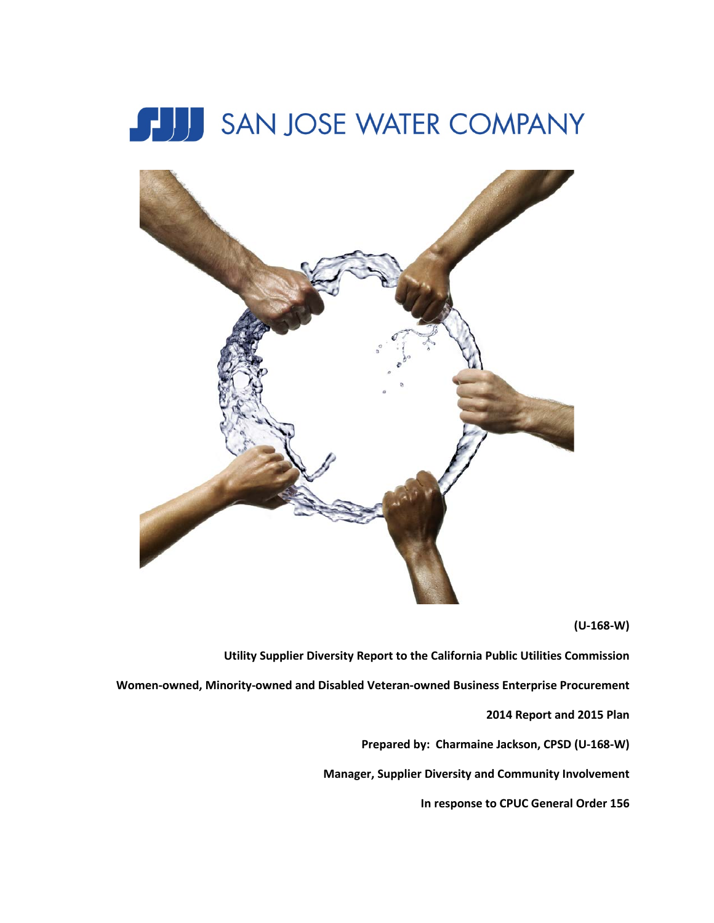



**(U-168-W)**

**Utility Supplier Diversity Report to the California Public Utilities Commission**

**Women-owned, Minority-owned and Disabled Veteran-owned Business Enterprise Procurement**

**2014 Report and 2015 Plan**

**Prepared by: Charmaine Jackson, CPSD (U-168-W)**

**Manager, Supplier Diversity and Community Involvement**

**In response to CPUC General Order 156**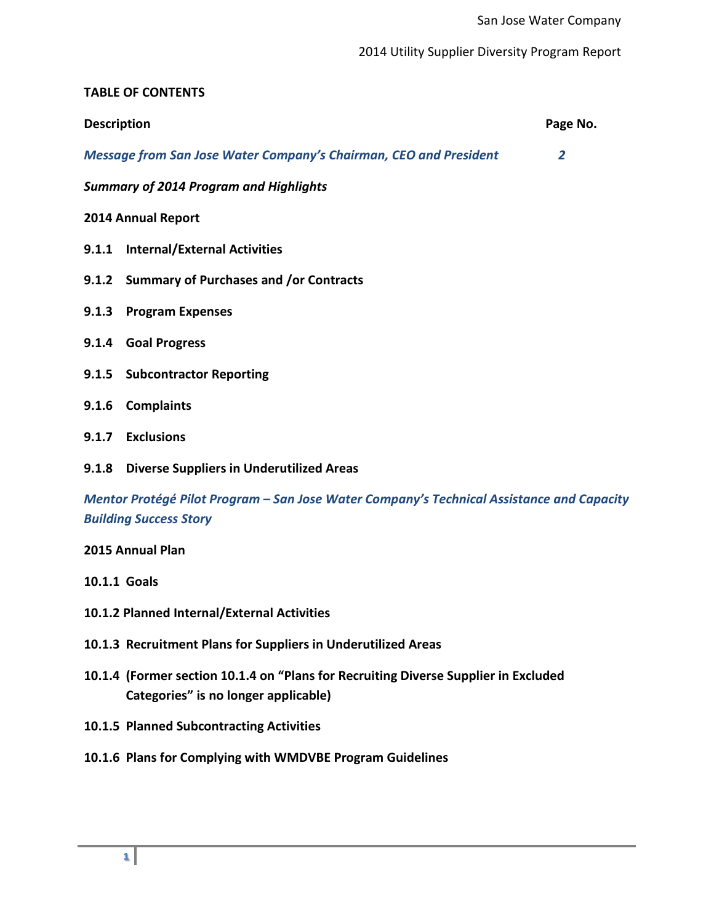# **TABLE OF CONTENTS**

| <b>Description</b>                                                                                                         |                                                                          | Page No.       |  |  |  |
|----------------------------------------------------------------------------------------------------------------------------|--------------------------------------------------------------------------|----------------|--|--|--|
|                                                                                                                            | <b>Message from San Jose Water Company's Chairman, CEO and President</b> | $\overline{2}$ |  |  |  |
|                                                                                                                            | <b>Summary of 2014 Program and Highlights</b>                            |                |  |  |  |
| 2014 Annual Report                                                                                                         |                                                                          |                |  |  |  |
|                                                                                                                            | 9.1.1 Internal/External Activities                                       |                |  |  |  |
|                                                                                                                            | 9.1.2 Summary of Purchases and /or Contracts                             |                |  |  |  |
| 9.1.3                                                                                                                      | <b>Program Expenses</b>                                                  |                |  |  |  |
|                                                                                                                            | 9.1.4 Goal Progress                                                      |                |  |  |  |
|                                                                                                                            | 9.1.5 Subcontractor Reporting                                            |                |  |  |  |
| 9.1.6                                                                                                                      | <b>Complaints</b>                                                        |                |  |  |  |
|                                                                                                                            | 9.1.7 Exclusions                                                         |                |  |  |  |
| 9.1.8                                                                                                                      | <b>Diverse Suppliers in Underutilized Areas</b>                          |                |  |  |  |
| Mentor Protégé Pilot Program - San Jose Water Company's Technical Assistance and Capacity<br><b>Building Success Story</b> |                                                                          |                |  |  |  |
|                                                                                                                            | 2015 Annual Plan                                                         |                |  |  |  |

**10.1.1 Goals**

- **10.1.2 Planned Internal/External Activities**
- **10.1.3 Recruitment Plans for Suppliers in Underutilized Areas**
- **10.1.4 (Former section 10.1.4 on "Plans for Recruiting Diverse Supplier in Excluded Categories" is no longer applicable)**
- **10.1.5 Planned Subcontracting Activities**
- **10.1.6 Plans for Complying with WMDVBE Program Guidelines**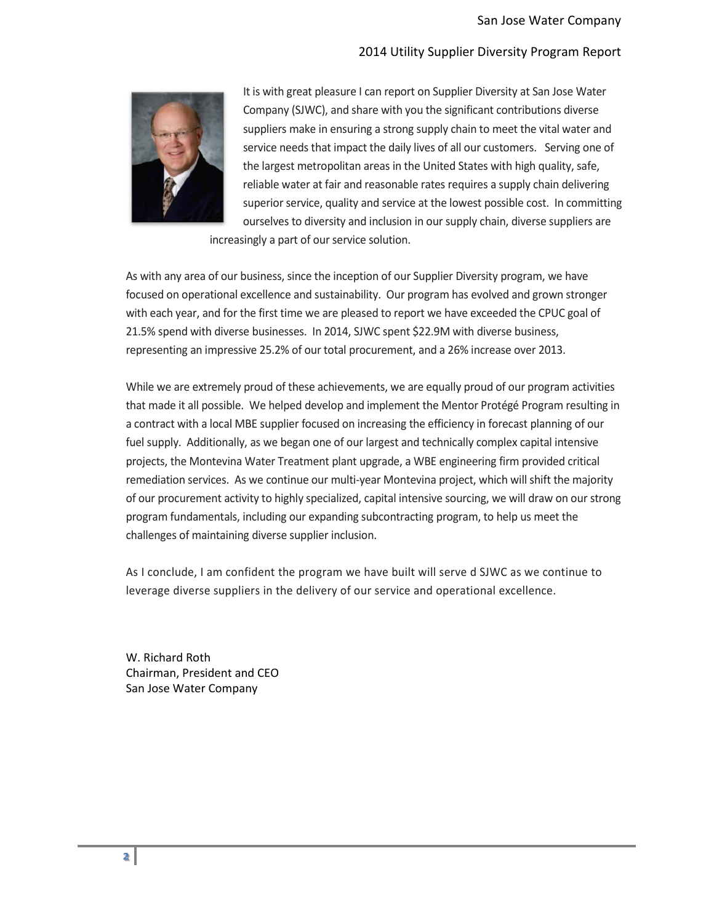

It is with great pleasure I can report on Supplier Diversity at San Jose Water Company (SJWC), and share with you the significant contributions diverse suppliers make in ensuring a strong supply chain to meet the vital water and service needs that impact the daily lives of all our customers. Serving one of the largest metropolitan areas in the United States with high quality, safe, reliable water at fair and reasonable rates requires a supply chain delivering superior service, quality and service at the lowest possible cost. In committing ourselves to diversity and inclusion in our supply chain, diverse suppliers are

increasingly a part of our service solution.

As with any area of our business, since the inception of our Supplier Diversity program, we have focused on operational excellence and sustainability. Our program has evolved and grown stronger with each year, and for the first time we are pleased to report we have exceeded the CPUC goal of 21.5% spend with diverse businesses. In 2014, SJWC spent \$22.9M with diverse business, representing an impressive 25.2% of our total procurement, and a 26% increase over 2013.

While we are extremely proud of these achievements, we are equally proud of our program activities that made it all possible. We helped develop and implement the Mentor Protégé Program resulting in a contract with a local MBE supplier focused on increasing the efficiency in forecast planning of our fuel supply. Additionally, as we began one of our largest and technically complex capital intensive projects, the Montevina Water Treatment plant upgrade, a WBE engineering firm provided critical remediation services. As we continue our multi-year Montevina project, which will shift the majority of our procurement activity to highly specialized, capital intensive sourcing, we will draw on our strong program fundamentals, including our expanding subcontracting program, to help us meet the challenges of maintaining diverse supplier inclusion.

As I conclude, I am confident the program we have built will serve d SJWC as we continue to leverage diverse suppliers in the delivery of our service and operational excellence.

W. Richard Roth Chairman, President and CEO San Jose Water Company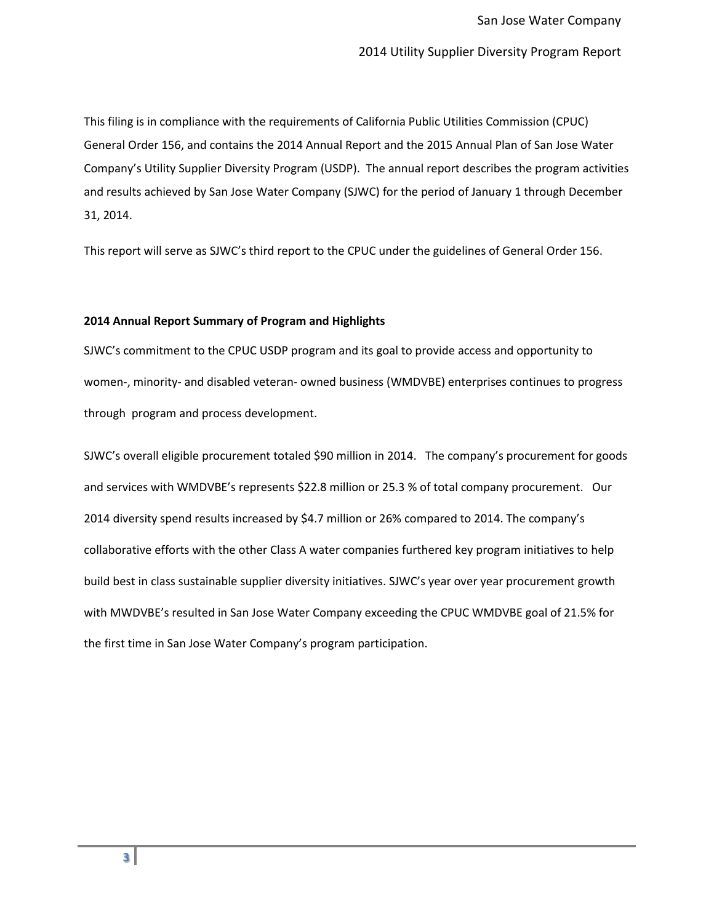This filing is in compliance with the requirements of California Public Utilities Commission (CPUC) General Order 156, and contains the 2014 Annual Report and the 2015 Annual Plan of San Jose Water Company's Utility Supplier Diversity Program (USDP). The annual report describes the program activities and results achieved by San Jose Water Company (SJWC) for the period of January 1 through December 31, 2014.

This report will serve as SJWC's third report to the CPUC under the guidelines of General Order 156.

### **2014 Annual Report Summary of Program and Highlights**

SJWC's commitment to the CPUC USDP program and its goal to provide access and opportunity to women-, minority- and disabled veteran- owned business (WMDVBE) enterprises continues to progress through program and process development.

SJWC's overall eligible procurement totaled \$90 million in 2014. The company's procurement for goods and services with WMDVBE's represents \$22.8 million or 25.3 % of total company procurement. Our 2014 diversity spend results increased by \$4.7 million or 26% compared to 2014. The company's collaborative efforts with the other Class A water companies furthered key program initiatives to help build best in class sustainable supplier diversity initiatives. SJWC's year over year procurement growth with MWDVBE's resulted in San Jose Water Company exceeding the CPUC WMDVBE goal of 21.5% for the first time in San Jose Water Company's program participation.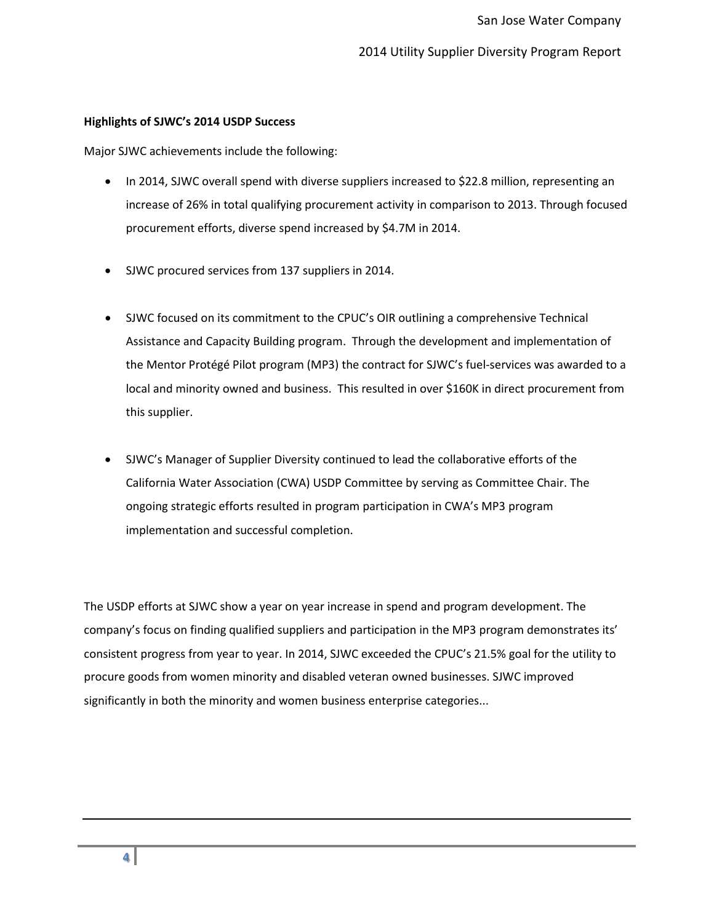### **Highlights of SJWC's 2014 USDP Success**

Major SJWC achievements include the following:

- In 2014, SJWC overall spend with diverse suppliers increased to \$22.8 million, representing an increase of 26% in total qualifying procurement activity in comparison to 2013. Through focused procurement efforts, diverse spend increased by \$4.7M in 2014.
- SJWC procured services from 137 suppliers in 2014.
- SJWC focused on its commitment to the CPUC's OIR outlining a comprehensive Technical Assistance and Capacity Building program. Through the development and implementation of the Mentor Protégé Pilot program (MP3) the contract for SJWC's fuel-services was awarded to a local and minority owned and business. This resulted in over \$160K in direct procurement from this supplier.
- SJWC's Manager of Supplier Diversity continued to lead the collaborative efforts of the California Water Association (CWA) USDP Committee by serving as Committee Chair. The ongoing strategic efforts resulted in program participation in CWA's MP3 program implementation and successful completion.

The USDP efforts at SJWC show a year on year increase in spend and program development. The company's focus on finding qualified suppliers and participation in the MP3 program demonstrates its' consistent progress from year to year. In 2014, SJWC exceeded the CPUC's 21.5% goal for the utility to procure goods from women minority and disabled veteran owned businesses. SJWC improved significantly in both the minority and women business enterprise categories...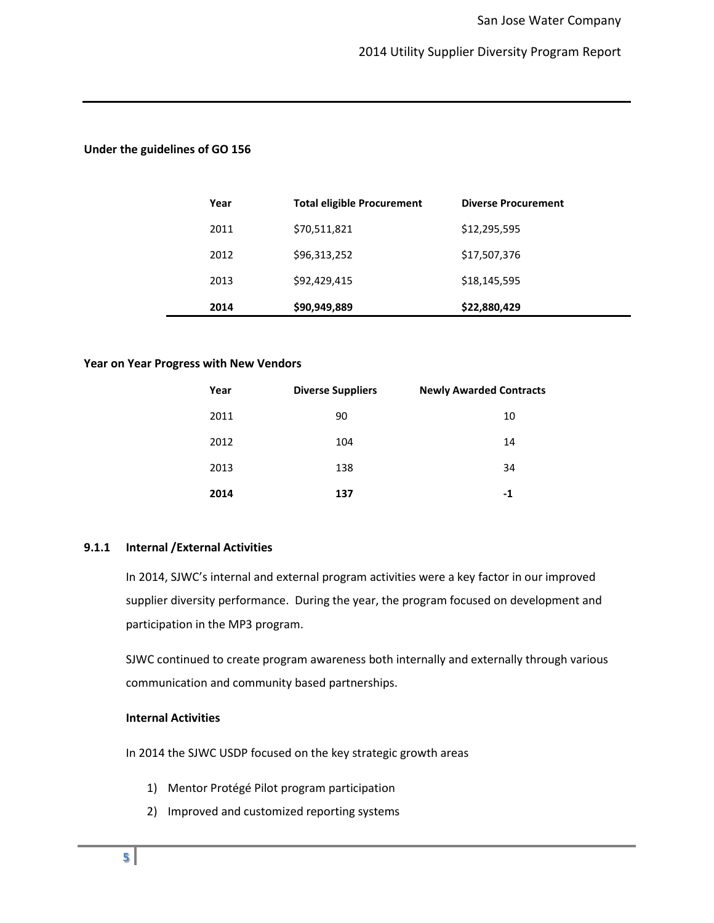### **Under the guidelines of GO 156**

| Year | <b>Total eligible Procurement</b> | <b>Diverse Procurement</b> |
|------|-----------------------------------|----------------------------|
| 2011 | \$70,511,821                      | \$12,295,595               |
| 2012 | \$96,313,252                      | \$17,507,376               |
| 2013 | \$92,429,415                      | \$18,145,595               |
| 2014 | \$90,949,889                      | \$22,880,429               |

#### **Year on Year Progress with New Vendors**

| Year | <b>Diverse Suppliers</b> | <b>Newly Awarded Contracts</b> |
|------|--------------------------|--------------------------------|
| 2011 | 90                       | 10                             |
| 2012 | 104                      | 14                             |
| 2013 | 138                      | 34                             |
| 2014 | 137                      | -1                             |

### **9.1.1 Internal /External Activities**

In 2014, SJWC's internal and external program activities were a key factor in our improved supplier diversity performance. During the year, the program focused on development and participation in the MP3 program.

SJWC continued to create program awareness both internally and externally through various communication and community based partnerships.

### **Internal Activities**

In 2014 the SJWC USDP focused on the key strategic growth areas

- 1) Mentor Protégé Pilot program participation
- 2) Improved and customized reporting systems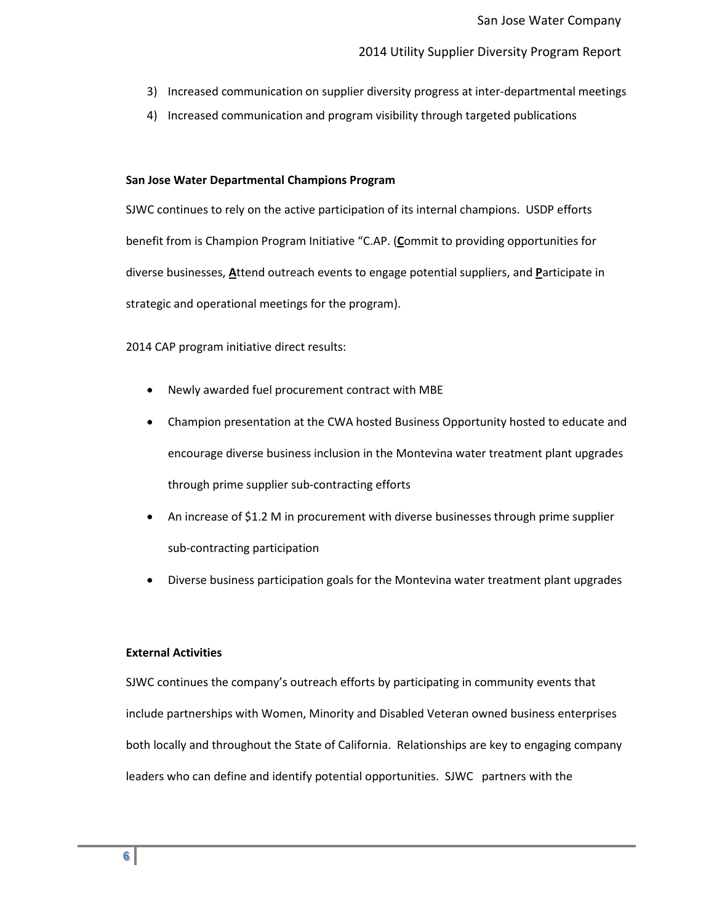- 3) Increased communication on supplier diversity progress at inter-departmental meetings
- 4) Increased communication and program visibility through targeted publications

### **San Jose Water Departmental Champions Program**

SJWC continues to rely on the active participation of its internal champions. USDP efforts benefit from is Champion Program Initiative "C.AP. (**C**ommit to providing opportunities for diverse businesses, **A**ttend outreach events to engage potential suppliers, and **P**articipate in strategic and operational meetings for the program).

2014 CAP program initiative direct results:

- Newly awarded fuel procurement contract with MBE
- Champion presentation at the CWA hosted Business Opportunity hosted to educate and encourage diverse business inclusion in the Montevina water treatment plant upgrades through prime supplier sub-contracting efforts
- An increase of \$1.2 M in procurement with diverse businesses through prime supplier sub-contracting participation
- Diverse business participation goals for the Montevina water treatment plant upgrades

## **External Activities**

SJWC continues the company's outreach efforts by participating in community events that include partnerships with Women, Minority and Disabled Veteran owned business enterprises both locally and throughout the State of California. Relationships are key to engaging company leaders who can define and identify potential opportunities. SJWC partners with the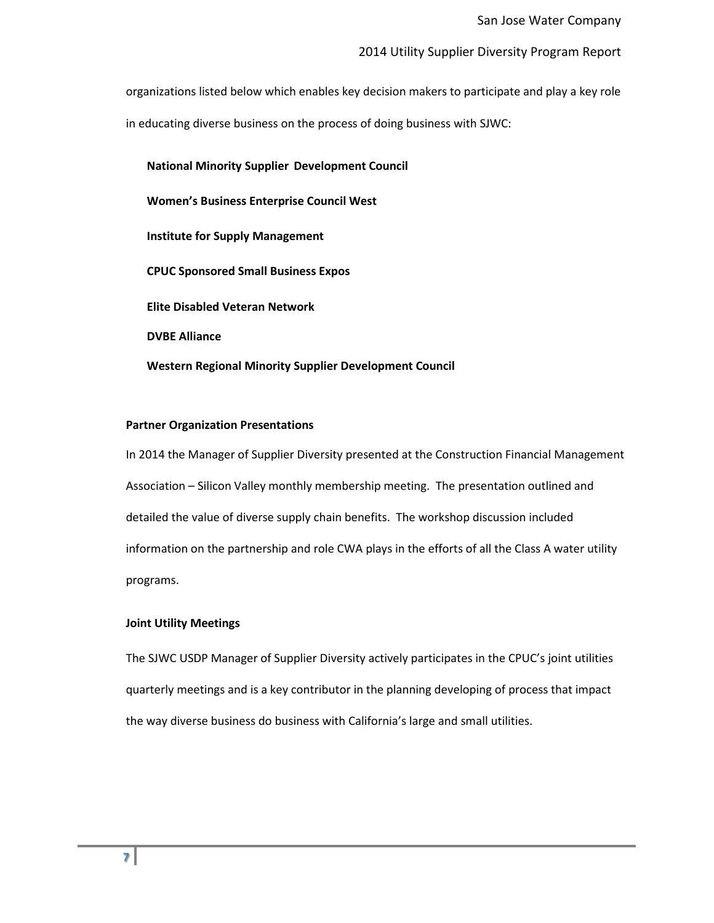organizations listed below which enables key decision makers to participate and play a key role in educating diverse business on the process of doing business with SJWC:

**National Minority Supplier Development Council Women's Business Enterprise Council West Institute for Supply Management CPUC Sponsored Small Business Expos Elite Disabled Veteran Network DVBE Alliance Western Regional Minority Supplier Development Council** 

### **Partner Organization Presentations**

In 2014 the Manager of Supplier Diversity presented at the Construction Financial Management Association – Silicon Valley monthly membership meeting. The presentation outlined and detailed the value of diverse supply chain benefits. The workshop discussion included information on the partnership and role CWA plays in the efforts of all the Class A water utility programs.

### **Joint Utility Meetings**

The SJWC USDP Manager of Supplier Diversity actively participates in the CPUC's joint utilities quarterly meetings and is a key contributor in the planning developing of process that impact the way diverse business do business with California's large and small utilities.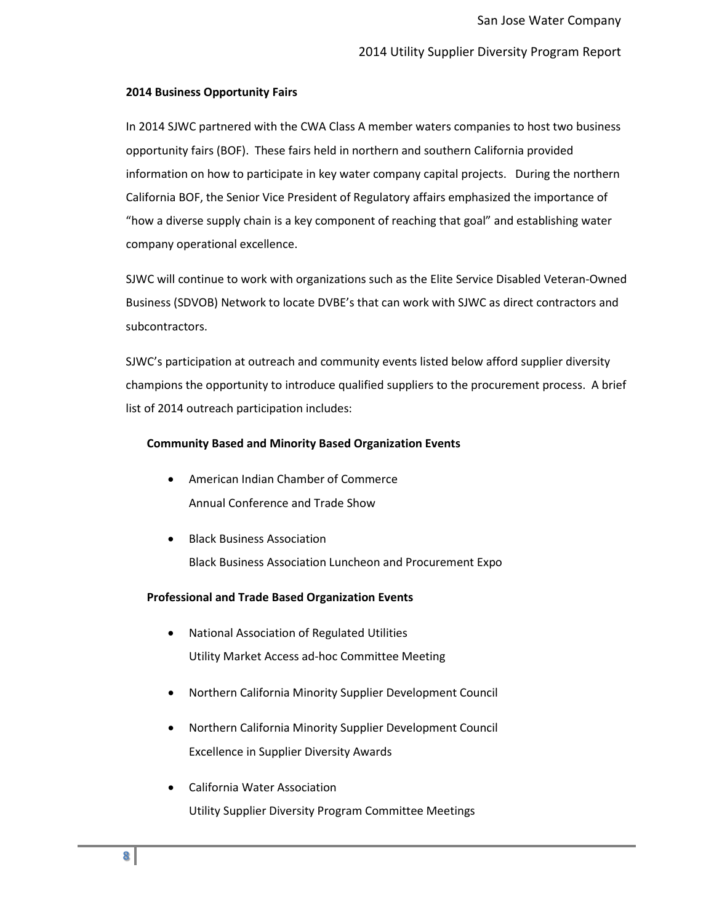### **2014 Business Opportunity Fairs**

In 2014 SJWC partnered with the CWA Class A member waters companies to host two business opportunity fairs (BOF). These fairs held in northern and southern California provided information on how to participate in key water company capital projects. During the northern California BOF, the Senior Vice President of Regulatory affairs emphasized the importance of "how a diverse supply chain is a key component of reaching that goal" and establishing water company operational excellence.

SJWC will continue to work with organizations such as the Elite Service Disabled Veteran-Owned Business (SDVOB) Network to locate DVBE's that can work with SJWC as direct contractors and subcontractors.

SJWC's participation at outreach and community events listed below afford supplier diversity champions the opportunity to introduce qualified suppliers to the procurement process. A brief list of 2014 outreach participation includes:

### **Community Based and Minority Based Organization Events**

- American Indian Chamber of Commerce Annual Conference and Trade Show
- Black Business Association Black Business Association Luncheon and Procurement Expo

### **Professional and Trade Based Organization Events**

- National Association of Regulated Utilities Utility Market Access ad-hoc Committee Meeting
- Northern California Minority Supplier Development Council
- Northern California Minority Supplier Development Council Excellence in Supplier Diversity Awards
- California Water Association Utility Supplier Diversity Program Committee Meetings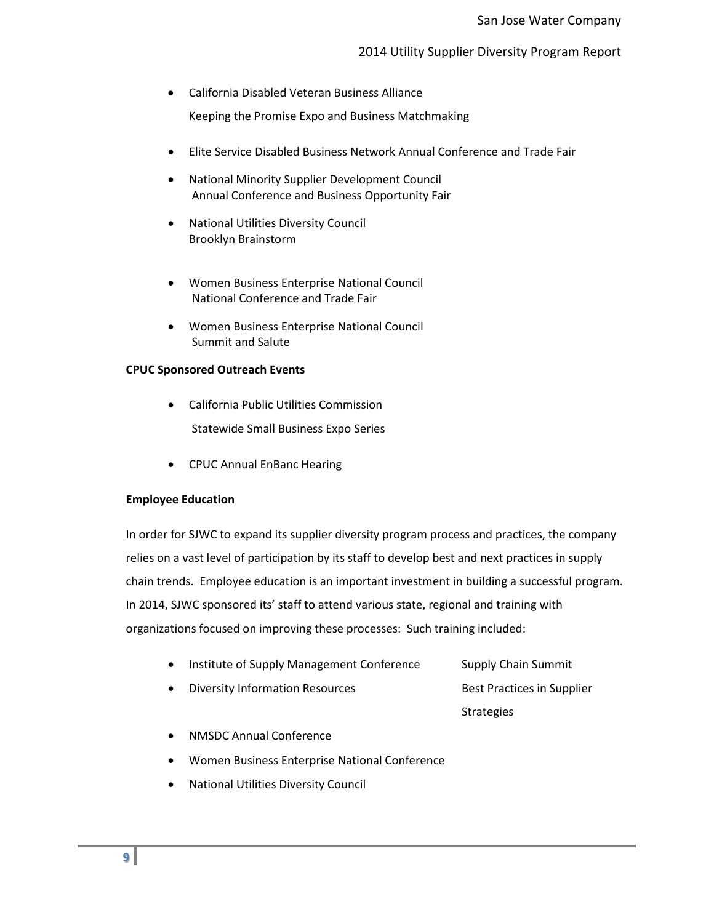• California Disabled Veteran Business Alliance

Keeping the Promise Expo and Business Matchmaking

- Elite Service Disabled Business Network Annual Conference and Trade Fair
- National Minority Supplier Development Council Annual Conference and Business Opportunity Fair
- National Utilities Diversity Council Brooklyn Brainstorm
- Women Business Enterprise National Council National Conference and Trade Fair
- Women Business Enterprise National Council Summit and Salute

# **CPUC Sponsored Outreach Events**

- California Public Utilities Commission Statewide Small Business Expo Series
- CPUC Annual EnBanc Hearing

# **Employee Education**

In order for SJWC to expand its supplier diversity program process and practices, the company relies on a vast level of participation by its staff to develop best and next practices in supply chain trends. Employee education is an important investment in building a successful program. In 2014, SJWC sponsored its' staff to attend various state, regional and training with organizations focused on improving these processes: Such training included:

- Institute of Supply Management Conference Supply Chain Summit
- Diversity Information Resources Best Practices in Supplier

**Strategies** 

- NMSDC Annual Conference
- Women Business Enterprise National Conference
- National Utilities Diversity Council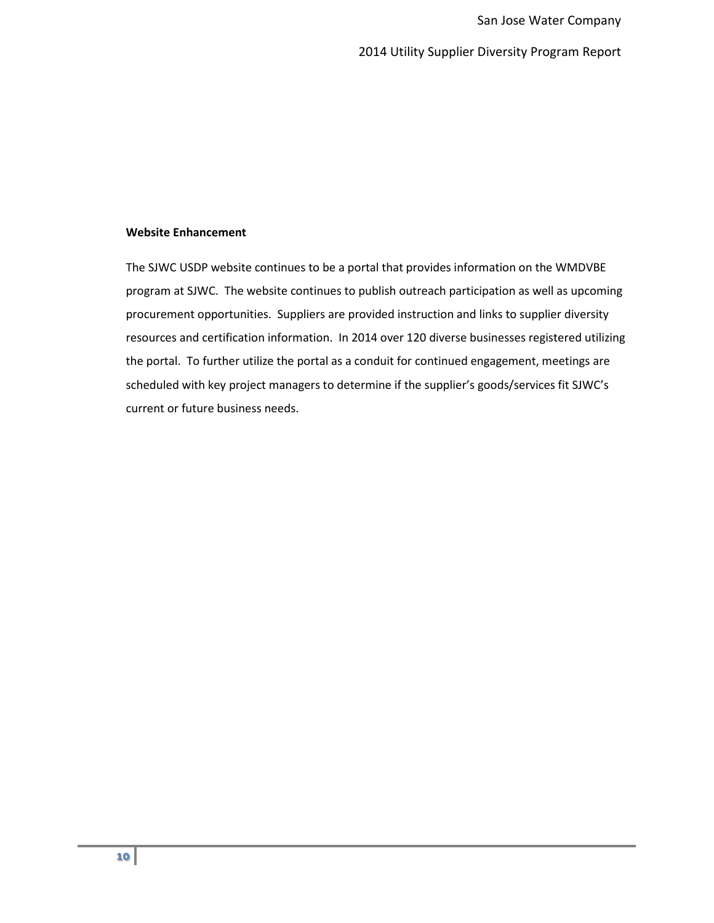## **Website Enhancement**

The SJWC USDP website continues to be a portal that provides information on the WMDVBE program at SJWC. The website continues to publish outreach participation as well as upcoming procurement opportunities. Suppliers are provided instruction and links to supplier diversity resources and certification information. In 2014 over 120 diverse businesses registered utilizing the portal. To further utilize the portal as a conduit for continued engagement, meetings are scheduled with key project managers to determine if the supplier's goods/services fit SJWC's current or future business needs.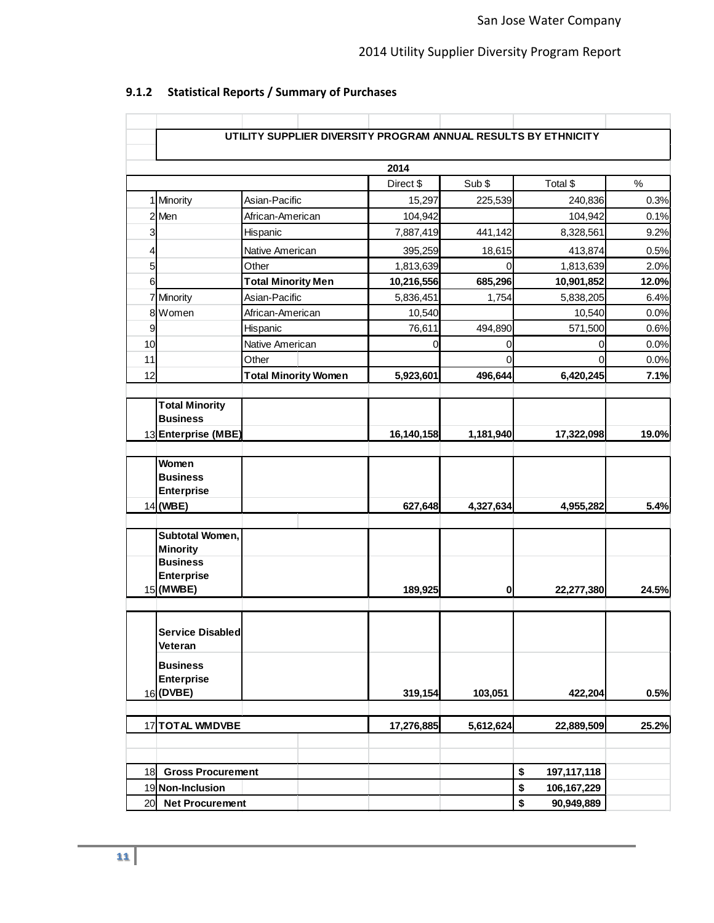|                |                                | UTILITY SUPPLIER DIVERSITY PROGRAM ANNUAL RESULTS BY ETHNICITY |            |                  |                   |       |
|----------------|--------------------------------|----------------------------------------------------------------|------------|------------------|-------------------|-------|
|                |                                |                                                                | 2014       |                  |                   |       |
|                |                                |                                                                | Direct \$  | Sub \$           | Total \$          | $\%$  |
|                | 1 Minority                     | Asian-Pacific                                                  | 15,297     | 225,539          | 240,836           | 0.3%  |
|                | 2 Men                          | African-American                                               | 104,942    |                  | 104,942           | 0.1%  |
| 3              |                                | Hispanic                                                       | 7,887,419  | 441,142          | 8,328,561         | 9.2%  |
| $\overline{4}$ |                                | Native American                                                | 395,259    | 18,615           | 413,874           | 0.5%  |
| 5              |                                | Other                                                          | 1,813,639  | $\Omega$         | 1,813,639         | 2.0%  |
| 6              |                                | <b>Total Minority Men</b>                                      | 10,216,556 | 685,296          | 10,901,852        | 12.0% |
|                | 7 Minority                     | Asian-Pacific                                                  | 5,836,451  | 1,754            | 5,838,205         | 6.4%  |
|                | 8 Women                        | African-American                                               | 10,540     |                  | 10,540            | 0.0%  |
| 9              |                                | Hispanic                                                       | 76,611     | 494,890          | 571,500           | 0.6%  |
| 10             |                                | Native American                                                | 0          | 0                | 0                 | 0.0%  |
| 11             |                                | Other                                                          |            | 0                | 0                 | 0.0%  |
| 12             |                                | <b>Total Minority Women</b>                                    | 5,923,601  | 496,644          | 6,420,245         | 7.1%  |
|                |                                |                                                                |            |                  |                   |       |
|                | <b>Total Minority</b>          |                                                                |            |                  |                   |       |
|                | <b>Business</b>                |                                                                |            |                  |                   |       |
|                | 13 Enterprise (MBE)            |                                                                | 16,140,158 | 1,181,940        | 17,322,098        | 19.0% |
|                |                                |                                                                |            |                  |                   |       |
|                | Women<br><b>Business</b>       |                                                                |            |                  |                   |       |
|                | <b>Enterprise</b>              |                                                                |            |                  |                   |       |
|                | $14$ (WBE)                     |                                                                | 627,648    | 4,327,634        | 4,955,282         | 5.4%  |
|                |                                |                                                                |            |                  |                   |       |
|                | Subtotal Women,                |                                                                |            |                  |                   |       |
|                | <b>Minority</b>                |                                                                |            |                  |                   |       |
|                | <b>Business</b>                |                                                                |            |                  |                   |       |
|                | <b>Enterprise</b><br>15 (MWBE) |                                                                | 189,925    |                  |                   | 24.5% |
|                |                                |                                                                |            | 0                | 22,277,380        |       |
|                |                                |                                                                |            |                  |                   |       |
|                | <b>Service Disabled</b>        |                                                                |            |                  |                   |       |
|                | Veteran                        |                                                                |            |                  |                   |       |
|                | <b>Business</b>                |                                                                |            |                  |                   |       |
|                | <b>Enterprise</b>              |                                                                |            |                  |                   |       |
|                | 16 (DVBE)                      |                                                                | 319,154    | 103,051          | 422,204           | 0.5%  |
|                |                                |                                                                |            |                  |                   |       |
|                | 17TOTAL WMDVBE                 |                                                                | 17,276,885 | 5,612,624        | 22,889,509        | 25.2% |
|                |                                |                                                                |            |                  |                   |       |
|                |                                |                                                                |            |                  |                   |       |
| 18             | <b>Gross Procurement</b>       |                                                                |            |                  | \$<br>197,117,118 |       |
|                | 19 Non-Inclusion               |                                                                |            |                  | \$<br>106,167,229 |       |
|                | 20 Net Procurement             |                                                                |            | \$<br>90,949,889 |                   |       |

# **9.1.2 Statistical Reports / Summary of Purchases**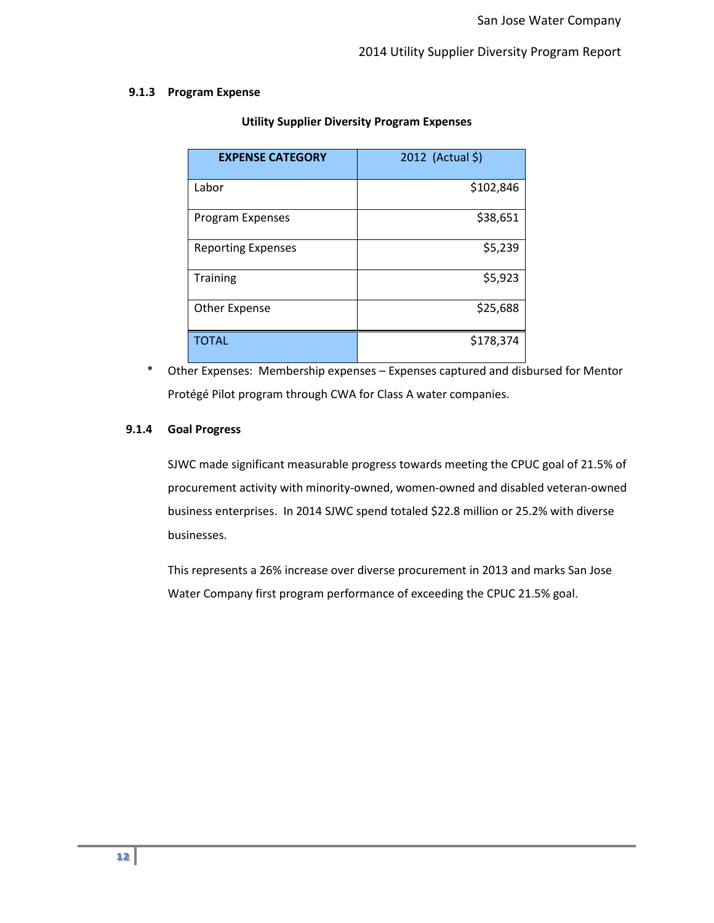### **9.1.3 Program Expense**

| <b>EXPENSE CATEGORY</b>   | 2012 (Actual \$) |
|---------------------------|------------------|
| Labor                     | \$102,846        |
| Program Expenses          | \$38,651         |
| <b>Reporting Expenses</b> | \$5,239          |
| <b>Training</b>           | \$5,923          |
| <b>Other Expense</b>      | \$25,688         |
| <b>TOTAL</b>              | \$178,374        |

## **Utility Supplier Diversity Program Expenses**

\* Other Expenses: Membership expenses – Expenses captured and disbursed for Mentor Protégé Pilot program through CWA for Class A water companies.

# **9.1.4 Goal Progress**

SJWC made significant measurable progress towards meeting the CPUC goal of 21.5% of procurement activity with minority-owned, women-owned and disabled veteran-owned business enterprises. In 2014 SJWC spend totaled \$22.8 million or 25.2% with diverse businesses.

This represents a 26% increase over diverse procurement in 2013 and marks San Jose Water Company first program performance of exceeding the CPUC 21.5% goal.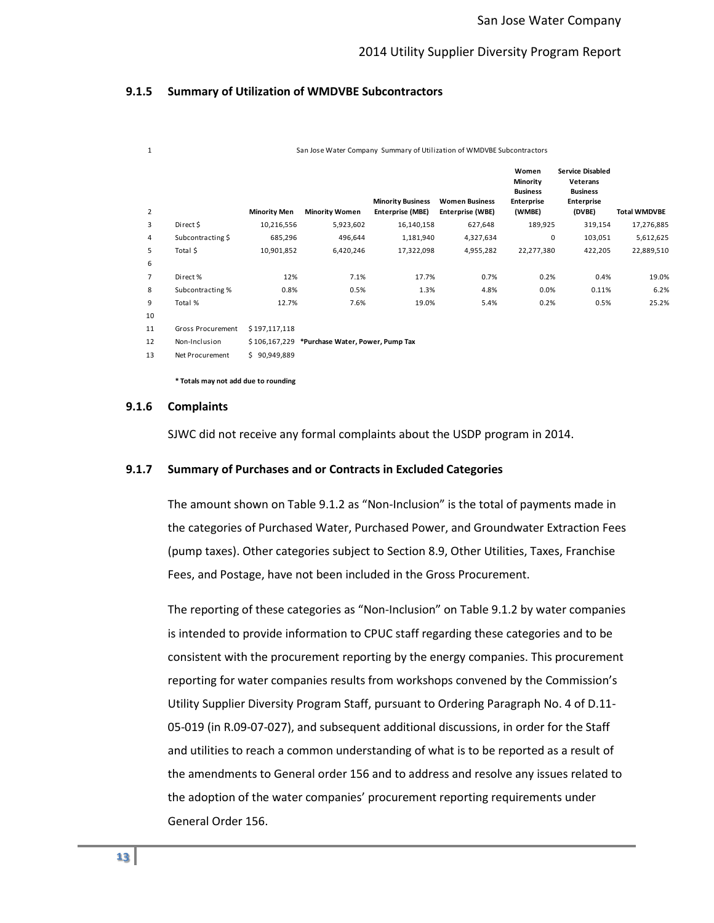### **9.1.5 Summary of Utilization of WMDVBE Subcontractors**

| 1  | San Jose Water Company Summary of Utilization of WMDVBE Subcontractors |                     |                                                |                                              |                                           |                                                              |                                                                                       |                     |
|----|------------------------------------------------------------------------|---------------------|------------------------------------------------|----------------------------------------------|-------------------------------------------|--------------------------------------------------------------|---------------------------------------------------------------------------------------|---------------------|
| 2  |                                                                        | <b>Minority Men</b> | <b>Minority Women</b>                          | <b>Minority Business</b><br>Enterprise (MBE) | <b>Women Business</b><br>Enterprise (WBE) | Women<br>Minority<br><b>Business</b><br>Enterprise<br>(WMBE) | <b>Service Disabled</b><br>Veterans<br><b>Business</b><br><b>Enterprise</b><br>(DVBE) | <b>Total WMDVBE</b> |
| 3  | Direct \$                                                              | 10,216,556          | 5,923,602                                      | 16,140,158                                   | 627,648                                   | 189,925                                                      | 319,154                                                                               | 17,276,885          |
| 4  | Subcontracting \$                                                      | 685,296             | 496,644                                        | 1,181,940                                    | 4,327,634                                 | 0                                                            | 103,051                                                                               | 5,612,625           |
| 5  | Total \$                                                               | 10,901,852          | 6,420,246                                      | 17,322,098                                   | 4,955,282                                 | 22,277,380                                                   | 422,205                                                                               | 22,889,510          |
| 6  |                                                                        |                     |                                                |                                              |                                           |                                                              |                                                                                       |                     |
| 7  | Direct%                                                                | 12%                 | 7.1%                                           | 17.7%                                        | 0.7%                                      | 0.2%                                                         | 0.4%                                                                                  | 19.0%               |
| 8  | Subcontracting %                                                       | 0.8%                | 0.5%                                           | 1.3%                                         | 4.8%                                      | 0.0%                                                         | 0.11%                                                                                 | 6.2%                |
| 9  | Total %                                                                | 12.7%               | 7.6%                                           | 19.0%                                        | 5.4%                                      | 0.2%                                                         | 0.5%                                                                                  | 25.2%               |
| 10 |                                                                        |                     |                                                |                                              |                                           |                                                              |                                                                                       |                     |
| 11 | Gross Procurement                                                      | \$197,117,118       |                                                |                                              |                                           |                                                              |                                                                                       |                     |
| 12 | Non-Inclusion                                                          |                     | \$106,167,229 *Purchase Water, Power, Pump Tax |                                              |                                           |                                                              |                                                                                       |                     |
| 13 | Net Procurement                                                        | \$90,949,889        |                                                |                                              |                                           |                                                              |                                                                                       |                     |

**\* Totals may not add due to rounding**

### **9.1.6 Complaints**

SJWC did not receive any formal complaints about the USDP program in 2014.

#### **9.1.7 Summary of Purchases and or Contracts in Excluded Categories**

The amount shown on Table 9.1.2 as "Non-Inclusion" is the total of payments made in the categories of Purchased Water, Purchased Power, and Groundwater Extraction Fees (pump taxes). Other categories subject to Section 8.9, Other Utilities, Taxes, Franchise Fees, and Postage, have not been included in the Gross Procurement.

The reporting of these categories as "Non-Inclusion" on Table 9.1.2 by water companies is intended to provide information to CPUC staff regarding these categories and to be consistent with the procurement reporting by the energy companies. This procurement reporting for water companies results from workshops convened by the Commission's Utility Supplier Diversity Program Staff, pursuant to Ordering Paragraph No. 4 of D.11- 05-019 (in R.09-07-027), and subsequent additional discussions, in order for the Staff and utilities to reach a common understanding of what is to be reported as a result of the amendments to General order 156 and to address and resolve any issues related to the adoption of the water companies' procurement reporting requirements under General Order 156.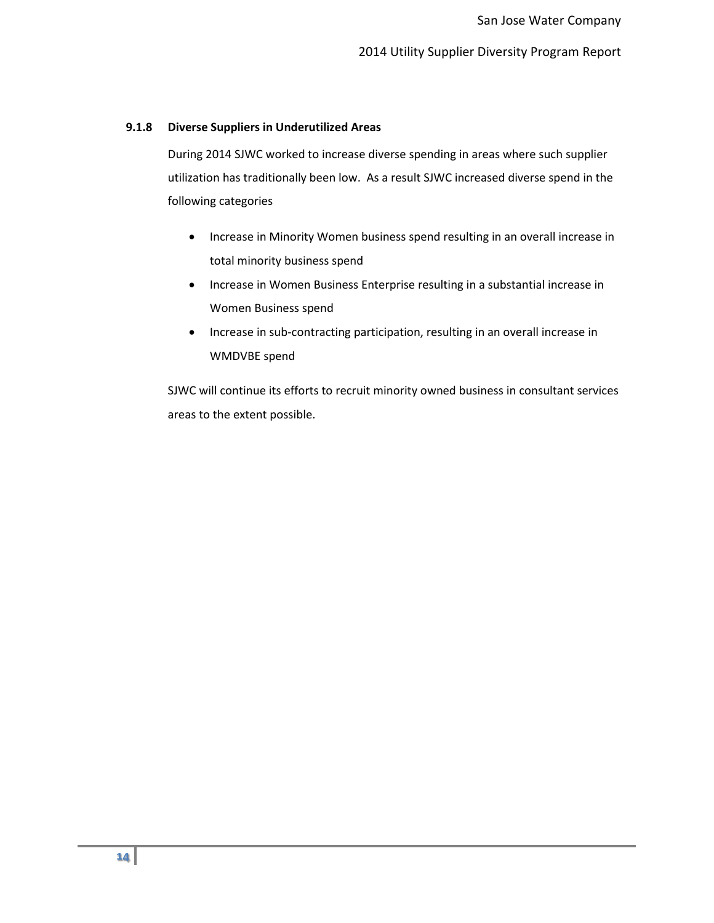### **9.1.8 Diverse Suppliers in Underutilized Areas**

During 2014 SJWC worked to increase diverse spending in areas where such supplier utilization has traditionally been low. As a result SJWC increased diverse spend in the following categories

- Increase in Minority Women business spend resulting in an overall increase in total minority business spend
- Increase in Women Business Enterprise resulting in a substantial increase in Women Business spend
- Increase in sub-contracting participation, resulting in an overall increase in WMDVBE spend

SJWC will continue its efforts to recruit minority owned business in consultant services areas to the extent possible.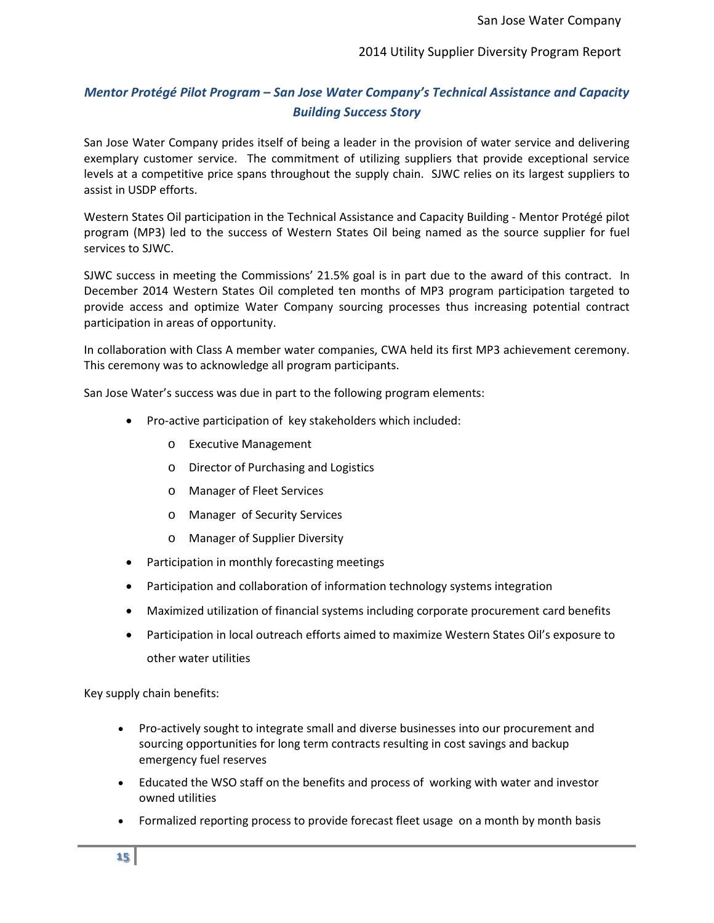# *Mentor Protégé Pilot Program – San Jose Water Company's Technical Assistance and Capacity Building Success Story*

San Jose Water Company prides itself of being a leader in the provision of water service and delivering exemplary customer service. The commitment of utilizing suppliers that provide exceptional service levels at a competitive price spans throughout the supply chain. SJWC relies on its largest suppliers to assist in USDP efforts.

Western States Oil participation in the Technical Assistance and Capacity Building - Mentor Protégé pilot program (MP3) led to the success of Western States Oil being named as the source supplier for fuel services to SJWC.

SJWC success in meeting the Commissions' 21.5% goal is in part due to the award of this contract. In December 2014 Western States Oil completed ten months of MP3 program participation targeted to provide access and optimize Water Company sourcing processes thus increasing potential contract participation in areas of opportunity.

In collaboration with Class A member water companies, CWA held its first MP3 achievement ceremony. This ceremony was to acknowledge all program participants.

San Jose Water's success was due in part to the following program elements:

- Pro-active participation of key stakeholders which included:
	- o Executive Management
	- o Director of Purchasing and Logistics
	- o Manager of Fleet Services
	- o Manager of Security Services
	- **Manager of Supplier Diversity**
- Participation in monthly forecasting meetings
- Participation and collaboration of information technology systems integration
- Maximized utilization of financial systems including corporate procurement card benefits
- Participation in local outreach efforts aimed to maximize Western States Oil's exposure to other water utilities

Key supply chain benefits:

- Pro-actively sought to integrate small and diverse businesses into our procurement and sourcing opportunities for long term contracts resulting in cost savings and backup emergency fuel reserves
- Educated the WSO staff on the benefits and process of working with water and investor owned utilities
- Formalized reporting process to provide forecast fleet usage on a month by month basis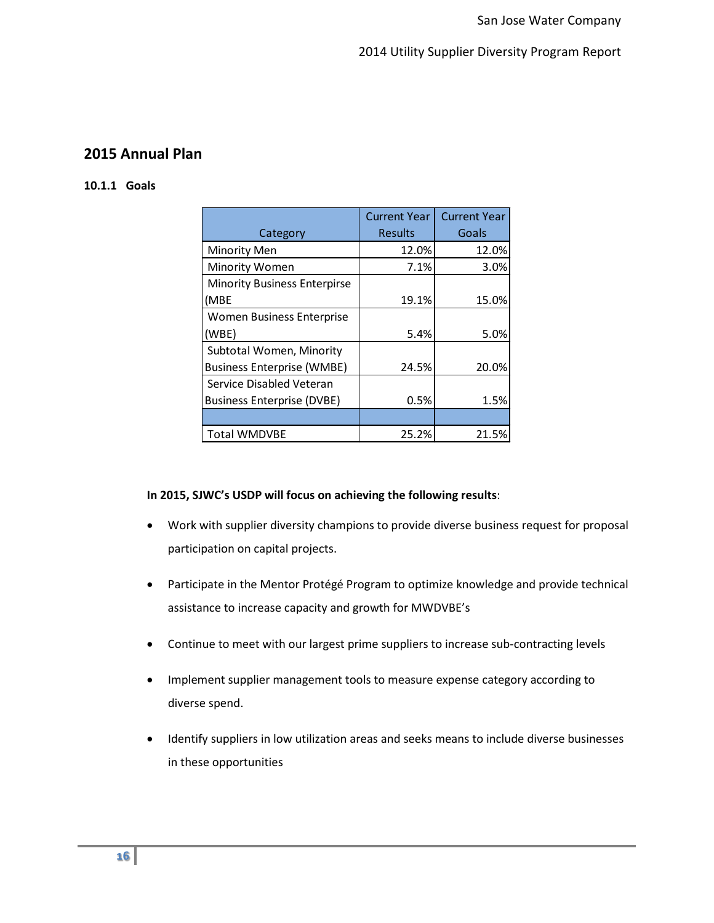# **2015 Annual Plan**

# **10.1.1 Goals**

|                                     | <b>Current Year</b> | <b>Current Year</b> |
|-------------------------------------|---------------------|---------------------|
| Category                            | <b>Results</b>      | Goals               |
| Minority Men                        | 12.0%               | 12.0%               |
| Minority Women                      | 7.1%                | 3.0%                |
| <b>Minority Business Enterpirse</b> |                     |                     |
| (MBE                                | 19.1%               | 15.0%               |
| Women Business Enterprise           |                     |                     |
| (WBE)                               | 5.4%                | 5.0%                |
| Subtotal Women, Minority            |                     |                     |
| <b>Business Enterprise (WMBE)</b>   | 24.5%               | 20.0%               |
| Service Disabled Veteran            |                     |                     |
| <b>Business Enterprise (DVBE)</b>   | 0.5%                | 1.5%                |
|                                     |                     |                     |
| <b>Total WMDVBE</b>                 | 25.2%               | 21.5%               |

# **In 2015, SJWC's USDP will focus on achieving the following results**:

- Work with supplier diversity champions to provide diverse business request for proposal participation on capital projects.
- Participate in the Mentor Protégé Program to optimize knowledge and provide technical assistance to increase capacity and growth for MWDVBE's
- Continue to meet with our largest prime suppliers to increase sub-contracting levels
- Implement supplier management tools to measure expense category according to diverse spend.
- Identify suppliers in low utilization areas and seeks means to include diverse businesses in these opportunities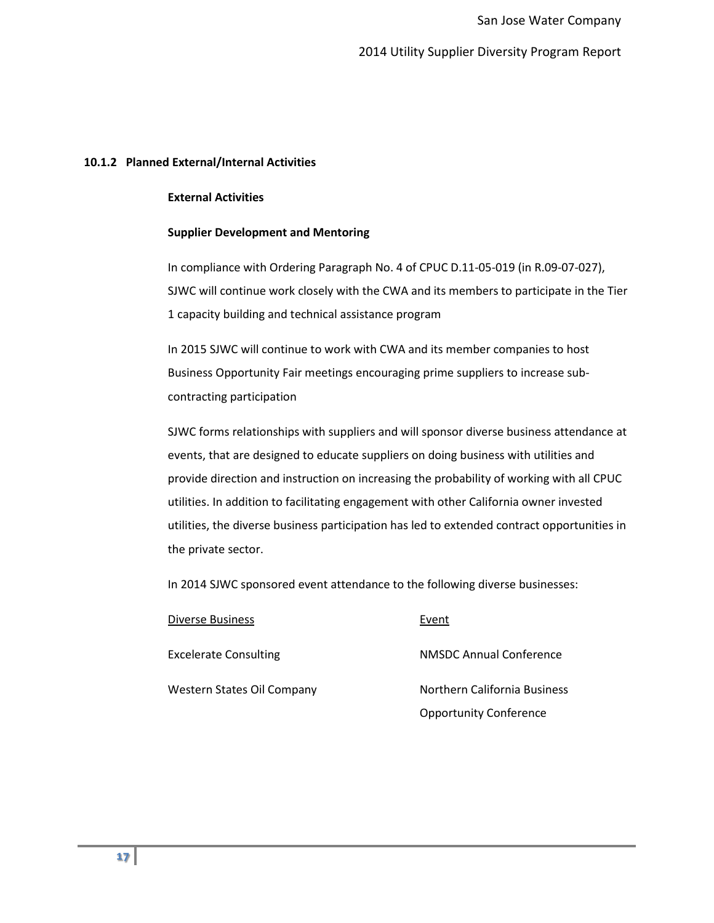### **10.1.2 Planned External/Internal Activities**

### **External Activities**

### **Supplier Development and Mentoring**

In compliance with Ordering Paragraph No. 4 of CPUC D.11-05-019 (in R.09-07-027), SJWC will continue work closely with the CWA and its members to participate in the Tier 1 capacity building and technical assistance program

In 2015 SJWC will continue to work with CWA and its member companies to host Business Opportunity Fair meetings encouraging prime suppliers to increase subcontracting participation

SJWC forms relationships with suppliers and will sponsor diverse business attendance at events, that are designed to educate suppliers on doing business with utilities and provide direction and instruction on increasing the probability of working with all CPUC utilities. In addition to facilitating engagement with other California owner invested utilities, the diverse business participation has led to extended contract opportunities in the private sector.

In 2014 SJWC sponsored event attendance to the following diverse businesses:

| Diverse Business             | Event                          |
|------------------------------|--------------------------------|
| <b>Excelerate Consulting</b> | <b>NMSDC Annual Conference</b> |
| Western States Oil Company   | Northern California Business   |
|                              | <b>Opportunity Conference</b>  |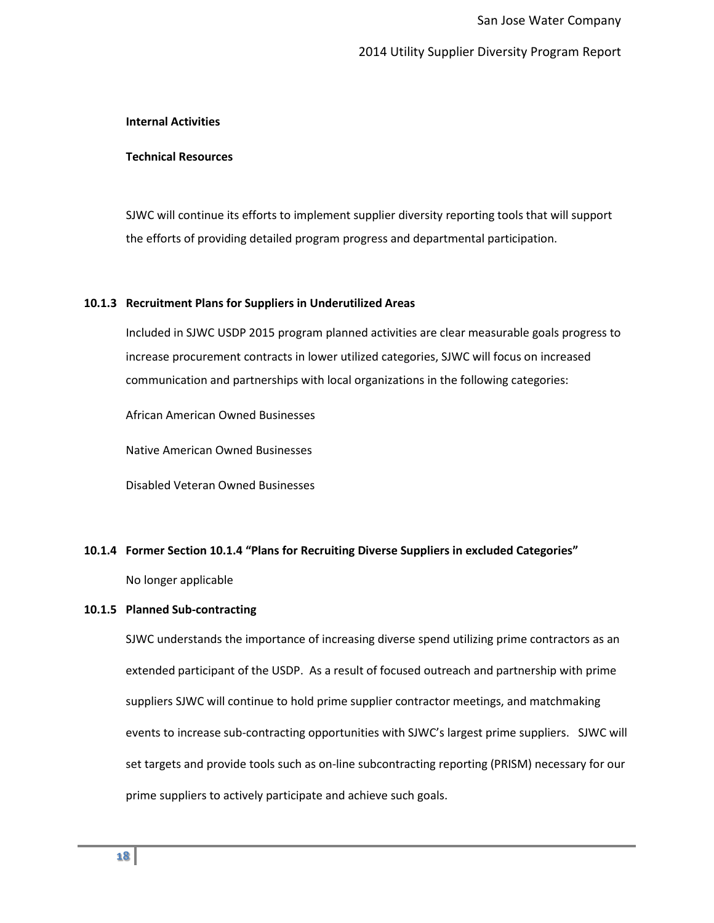### **Internal Activities**

### **Technical Resources**

SJWC will continue its efforts to implement supplier diversity reporting tools that will support the efforts of providing detailed program progress and departmental participation.

### **10.1.3 Recruitment Plans for Suppliers in Underutilized Areas**

Included in SJWC USDP 2015 program planned activities are clear measurable goals progress to increase procurement contracts in lower utilized categories, SJWC will focus on increased communication and partnerships with local organizations in the following categories:

African American Owned Businesses

Native American Owned Businesses

Disabled Veteran Owned Businesses

#### **10.1.4 Former Section 10.1.4 "Plans for Recruiting Diverse Suppliers in excluded Categories"**

No longer applicable

### **10.1.5 Planned Sub-contracting**

SJWC understands the importance of increasing diverse spend utilizing prime contractors as an extended participant of the USDP. As a result of focused outreach and partnership with prime suppliers SJWC will continue to hold prime supplier contractor meetings, and matchmaking events to increase sub-contracting opportunities with SJWC's largest prime suppliers. SJWC will set targets and provide tools such as on-line subcontracting reporting (PRISM) necessary for our prime suppliers to actively participate and achieve such goals.